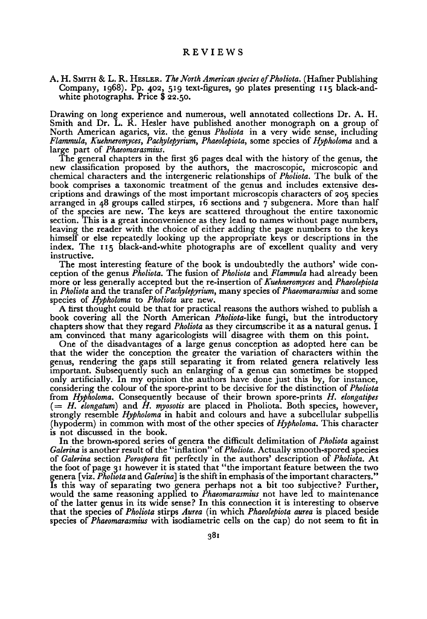## **REVIEWS**

A. H. SMITH & L. R. HESLER. The North American species of Pholiota. (Hafner Publishing Company, 1968). Pp. 402, 519 text-figures, go plates presenting 115 black-andwhite photographs. Price \$ 22.50.

Drawing on long experience and numerous, well annotated collections Dr. A. H. Smith and Dr. L. R. Hesler have published another monograph on a group of North American agarics, viz. the genus Pholiota in <sup>a</sup> very wide sense, including Flammula, Kuehneromyces, Pachylepyrium, Phaeolepiota, some species of Hypholoma and a large part of *Phaeomarasmius*.

The general chapters in the first <sup>36</sup> pages deal with the history of the genus, the new classification proposed by the authors, the macroscopic, microscopic and chemical characters and the intergeneric relationships of *Pholiota*. The bulk of the book comprises a taxonomic treatment of the genus and includes extensive descriptions and drawings of the most important microscopis characters of <sup>205</sup> species arranged in 48 groups called stirpes, 16 sections and  $\tau$  subgenera. More than half of the species are new. The keys are scattered throughout the entire taxonomic section. This is a great inconvenience as they lead to names without page numbers, leaving the reader with the choice of either adding the page numbers to the keys himself or else repeatedly looking up the appropriate keys or descriptions in the index. The <sup>115</sup> black-and-white photographs are of excellent quality and very instructive.

The most interesting feature of the book is undoubtedly the authors' wide conception of the genus Pholiota. The fusion of Pholiota and Flammula had already been more or less generally accepted but the re-insertion of Kuehneromyces and Phaeolepiota in Pholiota and the transfer of Pachylepyrium, many species of Phaeomarasmius and some species of *Hypholoma* to *Pholiota* are new.

A first thought could be that for practical reasons the authors wished to publish a book covering all the North American Pholiota-like fungi, but the introductory chapters show that they regard *Pholiota* as they circumscribe it as a natural genus. I am convinced that many agaricologists will disagree with them on this point.

One of the disadvantages of a large genus conception as adopted here can be that the wider the conception the greater the variation of characters within the genus, rendering the gaps still separating it from related genera relatively less important. Subsequently such an enlarging of <sup>a</sup> genus can sometimes be stopped only artificially. In my opinion the authors have done just this by, for instance, considering the colour of the spore-print to be decisive for the distinction of *Pholiota* from Hypholoma. Consequently because of their brown spore-prints H. elongatipes  $(= H.$  elongatum) and H. myosotis are placed in Pholiota. Both species, however, strongly resemble Hypholoma in habit and colours and have <sup>a</sup> subcellular subpellis (hypoderm) in common with most of the other species of *Hypholoma*. This character is not discussed in the book.

In the brown-spored series of genera the difficult delimitation of *Pholiota* against Galerina is another result of the "inflation" of Pholiota. Actually smooth-spored species of Galerina section Porospora fit perfectly in the authors' description of Pholiota. At the foot of page 31 however it is stated that "the important feature between the two genera [viz. Pholiota and Galerina] is the shift in emphasis of the important characters." Is this way of separating two genera perhaps not <sup>a</sup> bit too subjective? Further, would the same reasoning applied to *Phaeomarasmius* not have led to maintenance of the latter genus in its wide sense? In this connection it is interesting to observe that the species of Pholiota stirps Aurea (in which Phaeolepiota aurea is placed beside species of *Phaeomarasmius* with isodiametric cells on the cap) do not seem to fit in